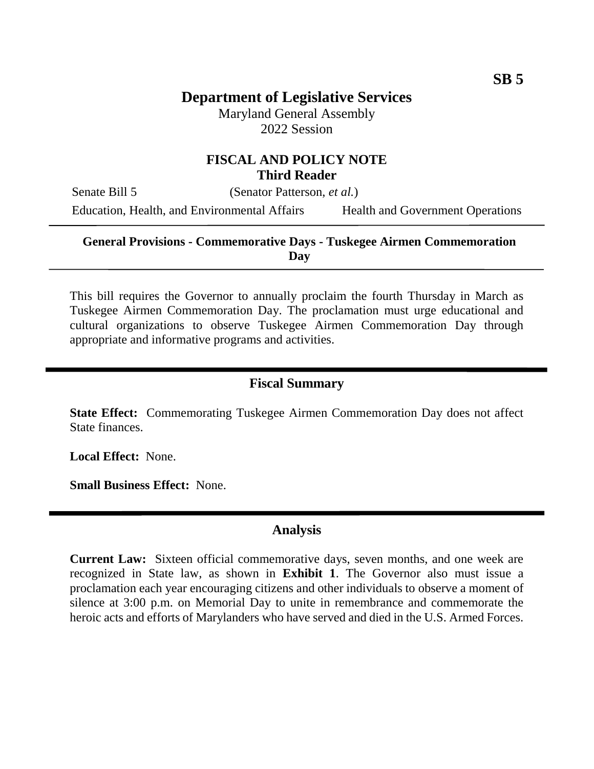Maryland General Assembly 2022 Session

## **FISCAL AND POLICY NOTE Third Reader**

Senate Bill 5 (Senator Patterson, *et al.*)

Education, Health, and Environmental Affairs Health and Government Operations

#### **General Provisions - Commemorative Days - Tuskegee Airmen Commemoration Day**

This bill requires the Governor to annually proclaim the fourth Thursday in March as Tuskegee Airmen Commemoration Day. The proclamation must urge educational and cultural organizations to observe Tuskegee Airmen Commemoration Day through appropriate and informative programs and activities.

## **Fiscal Summary**

**State Effect:** Commemorating Tuskegee Airmen Commemoration Day does not affect State finances.

**Local Effect:** None.

**Small Business Effect:** None.

#### **Analysis**

**Current Law:** Sixteen official commemorative days, seven months, and one week are recognized in State law, as shown in **Exhibit 1**. The Governor also must issue a proclamation each year encouraging citizens and other individuals to observe a moment of silence at 3:00 p.m. on Memorial Day to unite in remembrance and commemorate the heroic acts and efforts of Marylanders who have served and died in the U.S. Armed Forces.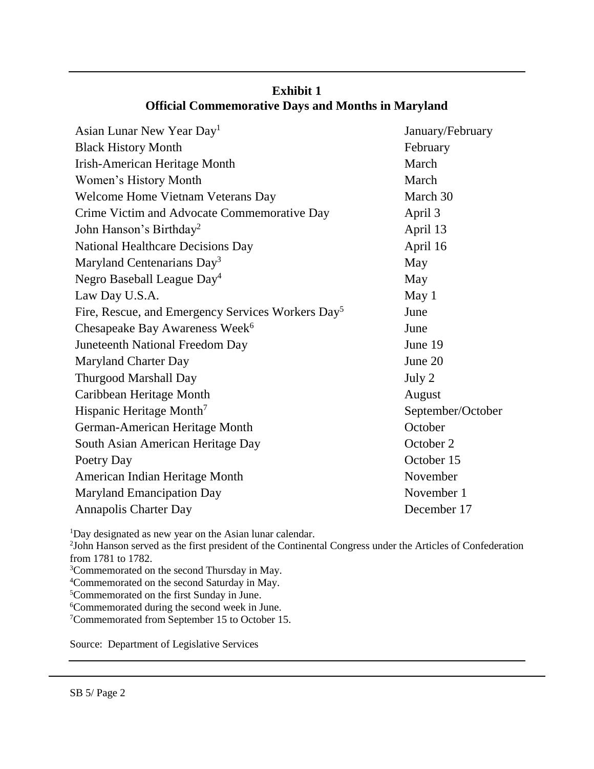| Asian Lunar New Year Day <sup>1</sup>                         | January/February  |
|---------------------------------------------------------------|-------------------|
| <b>Black History Month</b>                                    | February          |
| Irish-American Heritage Month                                 | March             |
| Women's History Month                                         | March             |
| Welcome Home Vietnam Veterans Day                             | March 30          |
| Crime Victim and Advocate Commemorative Day                   | April 3           |
| John Hanson's Birthday <sup>2</sup>                           | April 13          |
| <b>National Healthcare Decisions Day</b>                      | April 16          |
| Maryland Centenarians Day <sup>3</sup>                        | May               |
| Negro Baseball League Day <sup>4</sup>                        | May               |
| Law Day U.S.A.                                                | May <sub>1</sub>  |
| Fire, Rescue, and Emergency Services Workers Day <sup>5</sup> | June              |
| Chesapeake Bay Awareness Week <sup>6</sup>                    | June              |
| Juneteenth National Freedom Day                               | June 19           |
| <b>Maryland Charter Day</b>                                   | June 20           |
| <b>Thurgood Marshall Day</b>                                  | July 2            |
| Caribbean Heritage Month                                      | August            |
| Hispanic Heritage Month <sup>7</sup>                          | September/October |
| German-American Heritage Month                                | October           |
| South Asian American Heritage Day                             | October 2         |
| Poetry Day                                                    | October 15        |
| American Indian Heritage Month                                | November          |
| <b>Maryland Emancipation Day</b>                              | November 1        |
| <b>Annapolis Charter Day</b>                                  | December 17       |
|                                                               |                   |

# **Exhibit 1 Official Commemorative Days and Months in Maryland**

<sup>1</sup>Day designated as new year on the Asian lunar calendar.

2 John Hanson served as the first president of the Continental Congress under the Articles of Confederation from 1781 to 1782.

- <sup>3</sup>Commemorated on the second Thursday in May.
- <sup>4</sup>Commemorated on the second Saturday in May.

<sup>5</sup>Commemorated on the first Sunday in June.

<sup>6</sup>Commemorated during the second week in June.

<sup>7</sup>Commemorated from September 15 to October 15.

Source: Department of Legislative Services